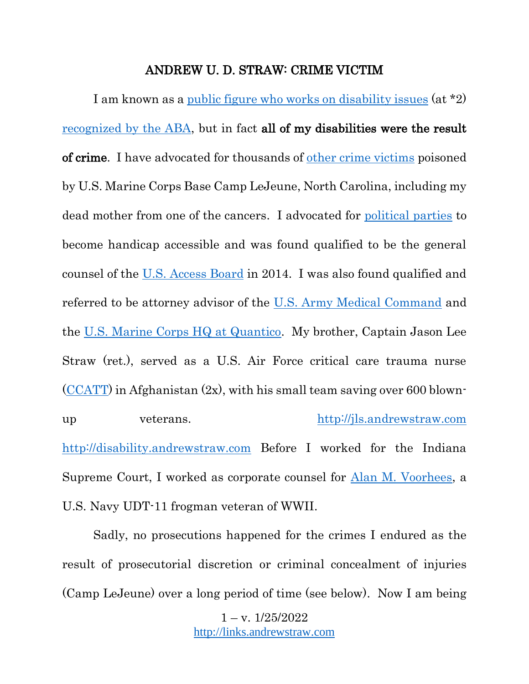## ANDREW U. D. STRAW: CRIME VICTIM

I am known as a [public figure who works on disability issues](https://courts.illinois.gov/R23_Orders/AppellateCourt/2015/1stDistrict/1143094_R23.pdf) (at \*2) [recognized by the ABA,](https://www.americanbar.org/groups/diversity/disabilityrights/initiatives_awards/spotlight/straw_a/) but in fact all of my disabilities were the result of crime. I have advocated for thousands of [other crime victims](https://www.youtube.com/watch?v=MKojwUm0qwk) poisoned by U.S. Marine Corps Base Camp LeJeune, North Carolina, including my dead mother from one of the cancers. I advocated for [political parties](https://youtu.be/2DebpmIA0oc) to become handicap accessible and was found qualified to be the general counsel of the [U.S. Access Board](https://www.access-board.gov/) in 2014. I was also found qualified and referred to be attorney advisor of the [U.S. Army Medical Command](https://www.army.mil/armymedicine) and the [U.S. Marine Corps HQ at Quantico.](https://www.quantico.marines.mil/units/headquarters-service-battalion/) My brother, Captain Jason Lee Straw (ret.), served as a U.S. Air Force critical care trauma nurse  $(CCATT)$  in Afghanistan  $(2x)$ , with his small team saving over 600 blownup veterans. [http://jls.andrewstraw.com](http://jls.andrewstraw.com/) [http://disability.andrewstraw.com](http://disability.andrewstraw.com/) Before I worked for the Indiana Supreme Court, I worked as corporate counsel for [Alan M. Voorhees,](https://www.nytimes.com/2006/01/01/us/alan-m-voorhees-is-dead-at-83-designed-transportation-systems.html) a U.S. Navy UDT-11 frogman veteran of WWII.

Sadly, no prosecutions happened for the crimes I endured as the result of prosecutorial discretion or criminal concealment of injuries (Camp LeJeune) over a long period of time (see below). Now I am being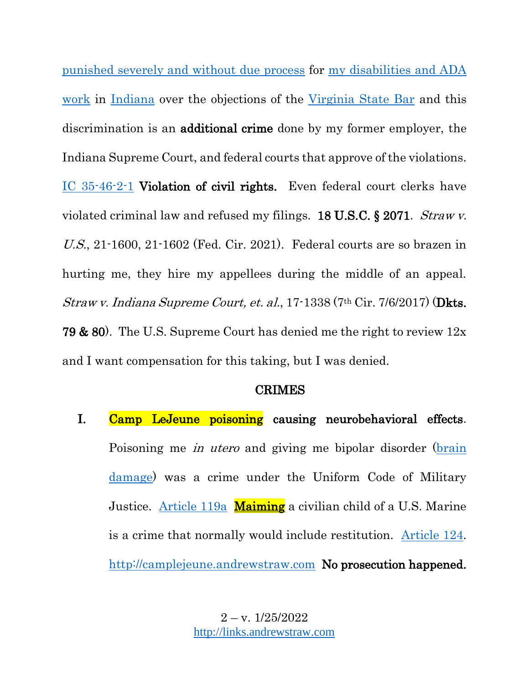punished [severely and without due process](http://reform.andrewstraw.com/) for [my disabilities](http://inrestraw.andrewstraw.com/) and ADA [work](http://inrestraw.andrewstraw.com/) in [Indiana](https://casetext.com/case/in-re-straw) over the objections of the [Virginia State Bar](https://www.vsb.org/docs/Straw-062217.pdf) and this discrimination is an additional crime done by my former employer, the Indiana Supreme Court, and federal courts that approve of the violations. [IC 35-46-2-1](https://law.justia.com/codes/indiana/2017/title-35/article-46/chapter-2/section-35-46-2-1/) Violation of civil rights. Even federal court clerks have violated criminal law and refused my filings. 18 U.S.C. § 2071. Straw v. U.S., 21-1600, 21-1602 (Fed. Cir. 2021). Federal courts are so brazen in hurting me, they hire my appellees during the middle of an appeal. Straw v. Indiana Supreme Court, et. al., 17-1338 (7<sup>th</sup> Cir. 7/6/2017) (**Dkts.** 79 & 80). The U.S. Supreme Court has denied me the right to review 12x and I want compensation for this taking, but I was denied.

## CRIMES

I. Camp LeJeune poisoning causing neurobehavioral effects. Poisoning me in utero and giving me bipolar disorder [\(brain](https://psychcentral.com/news/2017/01/26/bipolar-disorder-linked-to-decreased-hippocampal-volume/115618.html#:~:text=A%20new%20study%20found%20that,in%20the%20journal%20Molecular%20Psychiatry.)  [damage\)](https://psychcentral.com/news/2017/01/26/bipolar-disorder-linked-to-decreased-hippocampal-volume/115618.html#:~:text=A%20new%20study%20found%20that,in%20the%20journal%20Molecular%20Psychiatry.) was a crime under the Uniform Code of Military Justice. [Article 119a](https://www.law.cornell.edu/uscode/text/10/919a) Maiming a civilian child of a U.S. Marine is a crime that normally would include restitution. [Article 124.](https://www.bileckilawgroup.com/court-martial-defense/articles-of-the-ucmj/article-124-maiming/) [http://camplejeune.andrewstraw.com](http://camplejeune.andrewstraw.com/) No prosecution happened.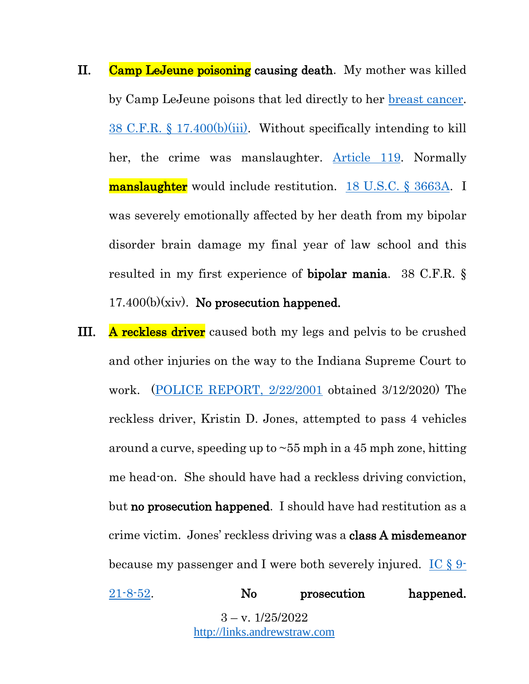- II. Camp LeJeune poisoning causing death. My mother was killed by Camp LeJeune poisons that led directly to her [breast cancer.](https://www.govinfo.gov/content/pkg/CFR-2017-title38-vol1/pdf/CFR-2017-title38-vol1-sec17-410.pdf) [38 C.F.R. § 17.400\(b\)\(iii\).](https://www.law.cornell.edu/cfr/text/38/17.400) Without specifically intending to kill her, the crime was manslaughter. [Article 119.](https://www.bileckilawgroup.com/court-martial-defense/articles-of-the-ucmj/article-119-manslaughter/) Normally manslaughter would include restitution. [18 U.S.C. § 3663A.](https://www.law.cornell.edu/uscode/text/18/3663A) I was severely emotionally affected by her death from my bipolar disorder brain damage my final year of law school and this resulted in my first experience of bipolar mania. 38 C.F.R. §  $17.400(b)(xiv)$ . No prosecution happened.
- **III.** A reckless driver caused both my legs and pelvis to be crushed and other injuries on the way to the Indiana Supreme Court to work. [\(POLICE REPORT, 2/22/2001](https://drive.google.com/file/d/1H_wgGRGT1x36j-W6tAbFR7GAryQOwTQ8/view?usp=sharing) obtained 3/12/2020) The reckless driver, Kristin D. Jones, attempted to pass 4 vehicles around a curve, speeding up to  $\sim$  55 mph in a 45 mph zone, hitting me head-on. She should have had a reckless driving conviction, but no prosecution happened. I should have had restitution as a crime victim. Jones' reckless driving was a class A misdemeanor because my passenger and I were both severely injured.  $\text{IC} \$

 $3 - v. 1/25/2022$ [http://links.andrewstraw.com](http://links.andrewstraw.com/) [21-8-52.](https://codes.findlaw.com/in/title-9-motor-vehicles/in-code-sect-9-21-8-52.html) No prosecution happened.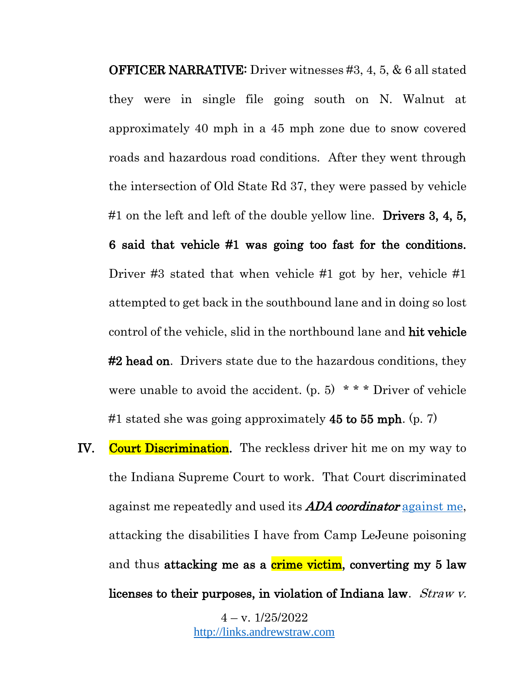OFFICER NARRATIVE: Driver witnesses #3, 4, 5, & 6 all stated they were in single file going south on N. Walnut at approximately 40 mph in a 45 mph zone due to snow covered roads and hazardous road conditions. After they went through the intersection of Old State Rd 37, they were passed by vehicle #1 on the left and left of the double yellow line. Drivers  $3, 4, 5$ , 6 said that vehicle #1 was going too fast for the conditions. Driver #3 stated that when vehicle #1 got by her, vehicle #1 attempted to get back in the southbound lane and in doing so lost control of the vehicle, slid in the northbound lane and hit vehicle **#2 head on.** Drivers state due to the hazardous conditions, they were unable to avoid the accident.  $(p, 5)$  \* \* \* Driver of vehicle #1 stated she was going approximately  $45$  to  $55$  mph. (p. 7)

IV. Court Discrimination. The reckless driver hit me on my way to the Indiana Supreme Court to work. That Court discriminated against me repeatedly and used its **ADA coordinator** [against me,](http://rodeheffer.andrewstraw.com/) attacking the disabilities I have from Camp LeJeune poisoning and thus attacking me as a crime victim, converting my 5 law licenses to their purposes, in violation of Indiana law. Straw v.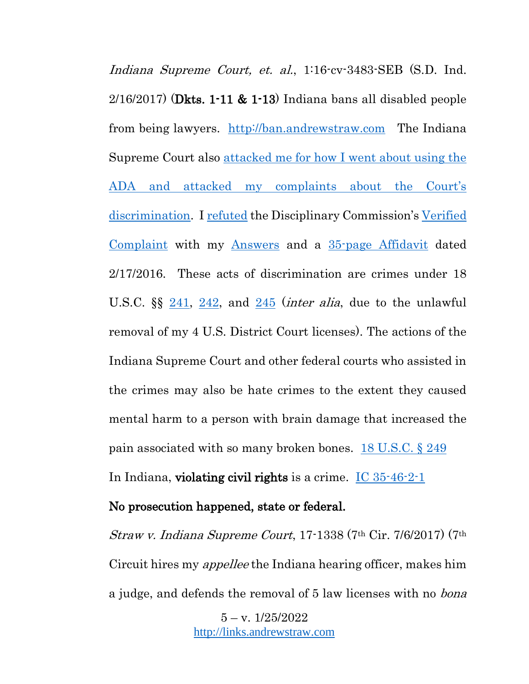Indiana Supreme Court, et. al., 1:16-cv-3483-SEB (S.D. Ind.  $2/16/2017$  (Dkts. 1-11 & 1-13) Indiana bans all disabled people from being lawyers. [http://ban.andrewstraw.com](http://ban.andrewstraw.com/) The Indiana Supreme Court also [attacked me for how I went about using the](http://inrestraw.andrewstraw.com/)  ADA [and attacked my complaints about the Court's](http://inrestraw.andrewstraw.com/)  [discrimination.](http://inrestraw.andrewstraw.com/) I [refuted](http://inrestraw.andrewstraw.com/) the Disciplinary Commission's [Verified](http://verfiedcomplaint.andrewstraw.com/)  [Complaint](http://verfiedcomplaint.andrewstraw.com/) with my [Answers](http://answers.andrewstraw.com/) and a [35-page Affidavit](http://affidavit.andrewstraw.com/) dated 2/17/2016. These acts of discrimination are crimes under 18 U.S.C.  $\S_{\frac{1}{241}$ ,  $\S_{\frac{1}{242}}$ , and  $\S_{\frac{1}{245}}$  $\S_{\frac{1}{245}}$  $\S_{\frac{1}{245}}$  (*inter alia*, due to the unlawful removal of my 4 U.S. District Court licenses). The actions of the Indiana Supreme Court and other federal courts who assisted in the crimes may also be hate crimes to the extent they caused mental harm to a person with brain damage that increased the pain associated with so many broken bones. [18 U.S.C. § 249](https://www.law.cornell.edu/uscode/text/18/249) In Indiana, violating civil rights is a crime. [IC 35-46-2-1](https://law.justia.com/codes/indiana/2017/title-35/article-46/chapter-2/section-35-46-2-1/)

#### No prosecution happened, state or federal.

Straw v. Indiana Supreme Court, 17-1338 (7th Cir. 7/6/2017) (7th Circuit hires my appellee the Indiana hearing officer, makes him a judge, and defends the removal of 5 law licenses with no *bona*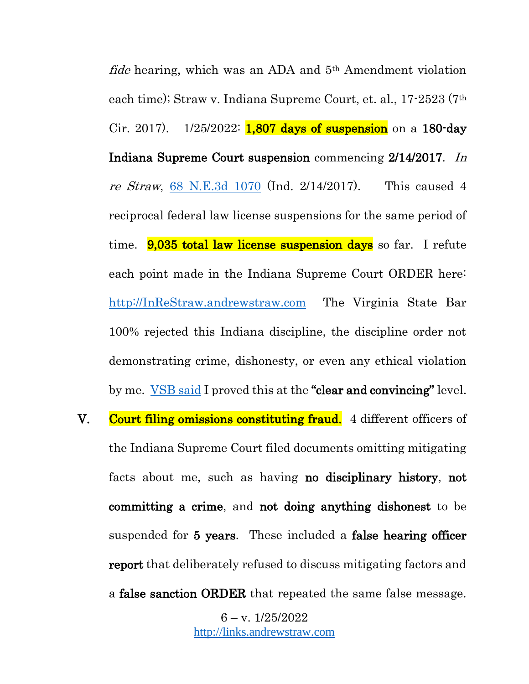fide hearing, which was an ADA and 5th Amendment violation each time); Straw v. Indiana Supreme Court, et. al., 17-2523 (7th Cir. 2017).  $1/25/2022$ : **1,807 days of suspension** on a 180-day Indiana Supreme Court suspension commencing 2/14/2017. In re Straw, [68 N.E.3d 1070](https://casetext.com/case/in-re-straw) (Ind. 2/14/2017). This caused 4 reciprocal federal law license suspensions for the same period of time. **9,035 total law license suspension days** so far. I refute each point made in the Indiana Supreme Court ORDER here: [http://InReStraw.andrewstraw.com](http://inrestraw.andrewstraw.com/) The Virginia State Bar 100% rejected this Indiana discipline, the discipline order not demonstrating crime, dishonesty, or even any ethical violation by me. [VSB said](https://www.vsb.org/docs/Straw-062217.pdf) I proved this at the "clear and convincing" level. V. Court filing omissions constituting fraud. 4 different officers of the Indiana Supreme Court filed documents omitting mitigating facts about me, such as having no disciplinary history, not committing a crime, and not doing anything dishonest to be suspended for 5 years. These included a false hearing officer report that deliberately refused to discuss mitigating factors and a false sanction ORDER that repeated the same false message.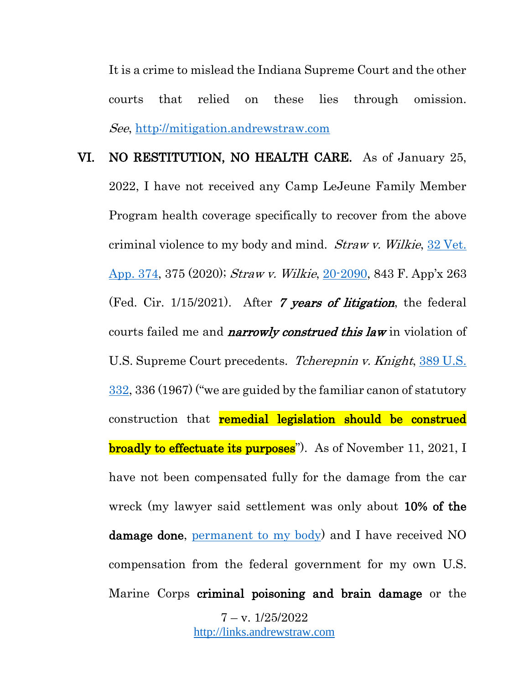It is a crime to mislead the Indiana Supreme Court and the other courts that relied on these lies through omission. See, [http://mitigation.andrewstraw.com](http://mitigation.andrewstraw.com/)

 $7 - v. 1/25/2022$ [http://links.andrewstraw.com](http://links.andrewstraw.com/) VI. NO RESTITUTION, NO HEALTH CARE. As of January 25, 2022, I have not received any Camp LeJeune Family Member Program health coverage specifically to recover from the above criminal violence to my body and mind. Straw v. Wilkie, [32 Vet.](https://scholar.google.com/scholar_case?case=12394269730688177531&q=%22Straw+v.%22&hl=en&as_sdt=6,48&as_ylo=2014&as_yhi=2022&as_rr=1)  [App. 374,](https://scholar.google.com/scholar_case?case=12394269730688177531&q=%22Straw+v.%22&hl=en&as_sdt=6,48&as_ylo=2014&as_yhi=2022&as_rr=1) 375 (2020); Straw v. Wilkie, [20-2090](http://www.cafc.uscourts.gov/sites/default/files/opinions-orders/20-2090.OPINION.1-15-2021_1718161.pdf), 843 F. App'x 263 (Fed. Cir.  $1/15/2021$ ). After 7 years of litigation, the federal courts failed me and *narrowly construed this law* in violation of U.S. Supreme Court precedents. *Tcherepnin v. Knight*, 389 U.S. [332,](https://supreme.justia.com/cases/federal/us/389/332/) 336 (1967) ("we are guided by the familiar canon of statutory construction that **remedial legislation should be construed broadly to effectuate its purposes**"). As of November 11, 2021, I have not been compensated fully for the damage from the car wreck (my lawyer said settlement was only about 10% of the damage done, [permanent to my body\)](http://disability.andrewstraw.com/) and I have received NO compensation from the federal government for my own U.S. Marine Corps criminal poisoning and brain damage or the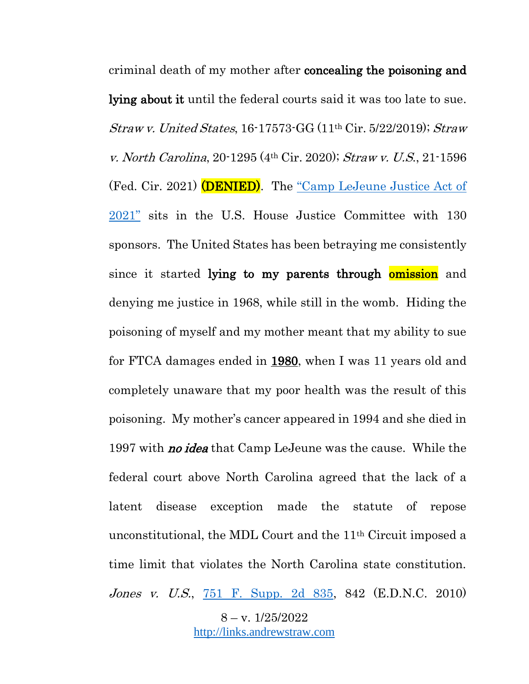$8 - v. 1/25/2022$ criminal death of my mother after concealing the poisoning and lying about it until the federal courts said it was too late to sue. Straw v. United States, 16-17573-GG (11th Cir. 5/22/2019); Straw v. North Carolina, 20-1295 (4th Cir. 2020); Straw v. U.S., 21-1596 (Fed. Cir. 2021) (DENIED). The "Camp LeJeune Justice Act of [2021"](https://www.congress.gov/bill/117th-congress/house-bill/2192?r=1&s=1) sits in the U.S. House Justice Committee with 130 sponsors. The United States has been betraying me consistently since it started lying to my parents through **omission** and denying me justice in 1968, while still in the womb. Hiding the poisoning of myself and my mother meant that my ability to sue for FTCA damages ended in 1980, when I was 11 years old and completely unaware that my poor health was the result of this poisoning. My mother's cancer appeared in 1994 and she died in 1997 with **no idea** that Camp LeJeune was the cause. While the federal court above North Carolina agreed that the lack of a latent disease exception made the statute of repose unconstitutional, the MDL Court and the 11th Circuit imposed a time limit that violates the North Carolina state constitution. Jones v. U.S., [751 F. Supp. 2d 835,](https://casetext.com/case/jones-v-us-480) 842 (E.D.N.C. 2010)

[http://links.andrewstraw.com](http://links.andrewstraw.com/)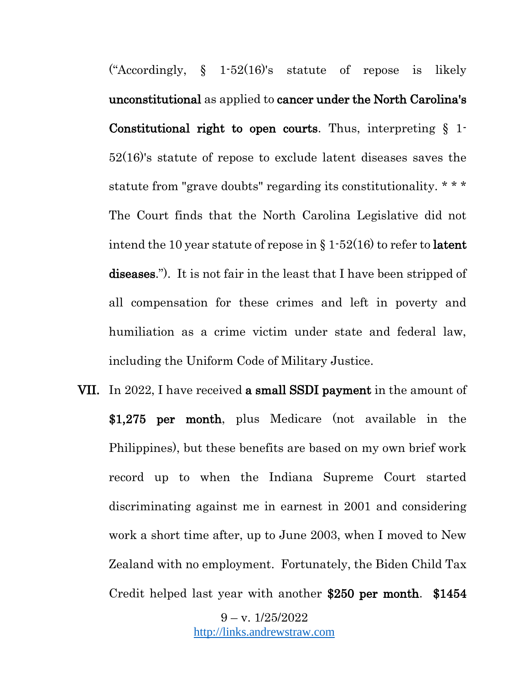("Accordingly,  $\S$  1-52(16)'s statute of repose is likely unconstitutional as applied to cancer under the North Carolina's Constitutional right to open courts. Thus, interpreting  $\S$  1. 52(16)'s statute of repose to exclude latent diseases saves the statute from "grave doubts" regarding its constitutionality. \* \* \* The Court finds that the North Carolina Legislative did not intend the 10 year statute of repose in  $\S 1-52(16)$  to refer to **latent** diseases."). It is not fair in the least that I have been stripped of all compensation for these crimes and left in poverty and humiliation as a crime victim under state and federal law, including the Uniform Code of Military Justice.

VII. In 2022, I have received **a small SSDI payment** in the amount of \$1,275 per month, plus Medicare (not available in the Philippines), but these benefits are based on my own brief work record up to when the Indiana Supreme Court started discriminating against me in earnest in 2001 and considering work a short time after, up to June 2003, when I moved to New Zealand with no employment. Fortunately, the Biden Child Tax Credit helped last year with another \$250 per month. \$1454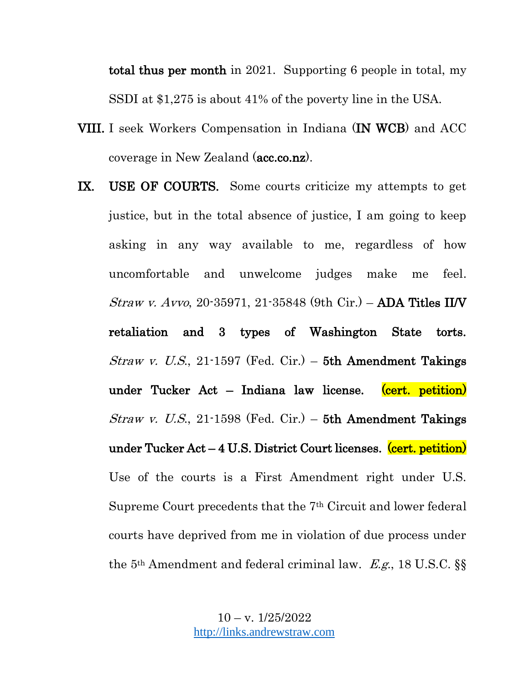total thus per month in 2021. Supporting 6 people in total, my SSDI at \$1,275 is about 41% of the poverty line in the USA.

- VIII. I seek Workers Compensation in Indiana (IN WCB) and ACC coverage in New Zealand (acc.co.nz).
- IX. USE OF COURTS. Some courts criticize my attempts to get justice, but in the total absence of justice, I am going to keep asking in any way available to me, regardless of how uncomfortable and unwelcome judges make me feel. Straw v. Avvo, 20-35971, 21-35848 (9th Cir.) – ADA Titles II/V retaliation and 3 types of Washington State torts. *Straw v. U.S.*, 21-1597 (Fed. Cir.) – 5th Amendment Takings under Tucker Act – Indiana law license.  $(cert.$  petition) Straw v. U.S., 21-1598 (Fed. Cir.) – 5th Amendment Takings under Tucker Act – 4 U.S. District Court licenses. (cert. petition) Use of the courts is a First Amendment right under U.S. Supreme Court precedents that the 7th Circuit and lower federal courts have deprived from me in violation of due process under the 5th Amendment and federal criminal law. E.g., 18 U.S.C. §§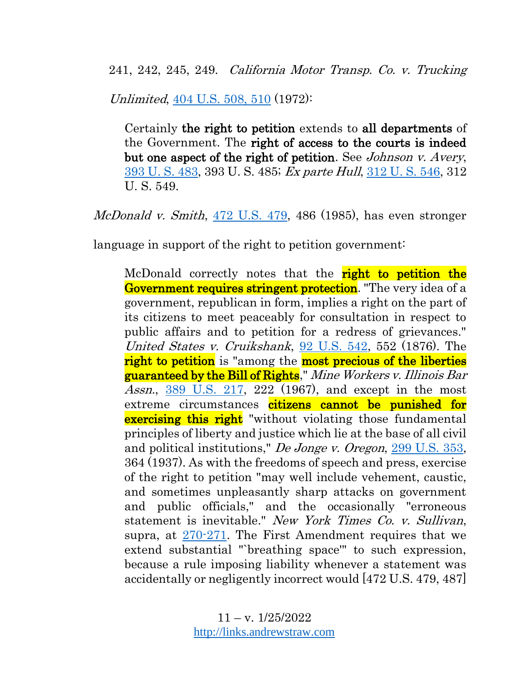241, 242, 245, 249. California Motor Transp. Co. v. Trucking

Unlimited, [404 U.S. 508, 510](https://supreme.justia.com/cases/federal/us/404/508/) (1972):

Certainly the right to petition extends to all departments of the Government. The right of access to the courts is indeed but one aspect of the right of petition. See Johnson v. Avery, [393 U. S. 483,](https://supreme.justia.com/cases/federal/us/393/483/) 393 U. S. 485; Ex parte Hull, [312 U. S. 546,](https://supreme.justia.com/cases/federal/us/312/546/) 312 U. S. 549.

McDonald v. Smith, [472 U.S. 479,](https://supreme.justia.com/cases/federal/us/472/479/) 486 (1985), has even stronger

language in support of the right to petition government:

McDonald correctly notes that the **right to petition the** Government requires stringent protection. "The very idea of a government, republican in form, implies a right on the part of its citizens to meet peaceably for consultation in respect to public affairs and to petition for a redress of grievances." United States v. Cruikshank, [92 U.S. 542,](https://supreme.justia.com/cases/federal/us/92/542/) 552 (1876). The right to petition is "among the most precious of the liberties" guaranteed by the Bill of Rights," Mine Workers v. Illinois Bar Assn., [389 U.S. 217,](https://supreme.justia.com/cases/federal/us/389/217/) 222 (1967), and except in the most extreme circumstances citizens cannot be punished for **exercising this right** "without violating those fundamental principles of liberty and justice which lie at the base of all civil and political institutions," De Jonge v. Oregon, [299 U.S. 353,](https://supreme.justia.com/cases/federal/us/299/353/) 364 (1937). As with the freedoms of speech and press, exercise of the right to petition "may well include vehement, caustic, and sometimes unpleasantly sharp attacks on government and public officials," and the occasionally "erroneous statement is inevitable." New York Times Co. v. Sullivan, supra, at [270-271.](https://supreme.justia.com/cases/federal/us/376/254/) The First Amendment requires that we extend substantial "`breathing space'" to such expression, because a rule imposing liability whenever a statement was accidentally or negligently incorrect would [472 U.S. 479, 487]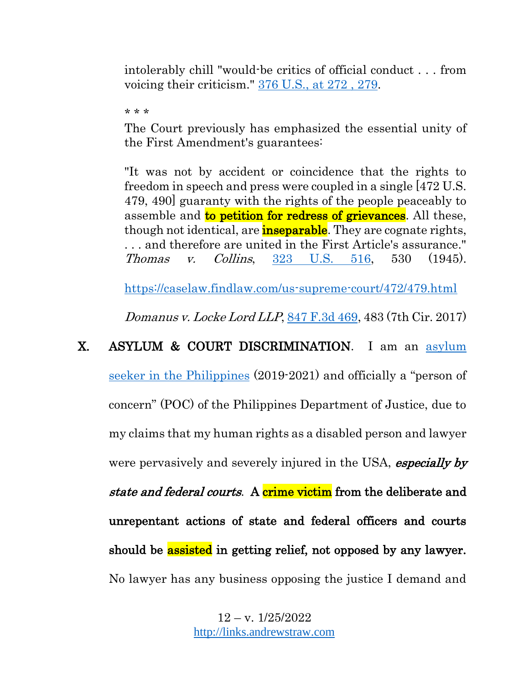intolerably chill "would-be critics of official conduct . . . from voicing their criticism." [376 U.S., at 272 , 279.](https://supreme.justia.com/cases/federal/us/376/254/)

\* \* \*

The Court previously has emphasized the essential unity of the First Amendment's guarantees:

"It was not by accident or coincidence that the rights to freedom in speech and press were coupled in a single [472 U.S. 479, 490] guaranty with the rights of the people peaceably to assemble and **to petition for redress of grievances**. All these, though not identical, are **inseparable**. They are cognate rights, . . . and therefore are united in the First Article's assurance." Thomas v. Collins, [323 U.S. 516,](https://supreme.justia.com/cases/federal/us/323/516/) 530 (1945).

<https://caselaw.findlaw.com/us-supreme-court/472/479.html>

Domanus v. Locke Lord LLP, [847 F.3d 469,](https://casetext.com/case/domanus-v-locke-lord-llp-2) 483 (7th Cir. 2017)

# X. ASYLUM & COURT DISCRIMINATION. I am an asylum [seeker in the Philippines](http://cpa.andrewstraw.com/) (2019-2021) and officially a "person of concern" (POC) of the Philippines Department of Justice, due to my claims that my human rights as a disabled person and lawyer were pervasively and severely injured in the USA, especially by state and federal courts. A crime victim from the deliberate and unrepentant actions of state and federal officers and courts should be **assisted** in getting relief, not opposed by any lawyer. No lawyer has any business opposing the justice I demand and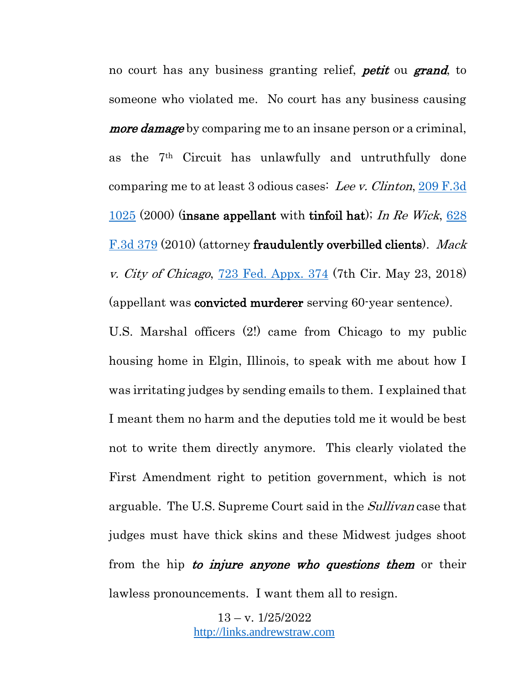no court has any business granting relief, *petit* ou **grand**, to someone who violated me. No court has any business causing *more damage* by comparing me to an insane person or a criminal, as the 7th Circuit has unlawfully and untruthfully done comparing me to at least 3 odious cases: Lee v. Clinton, [209 F.3d](https://www.leagle.com/decision/20001234209f3d102511119)  [1025](https://www.leagle.com/decision/20001234209f3d102511119) (2000) (insane appellant with tinfoil hat); In Re Wick,  $628$ [F.3d 379](https://www.courtlistener.com/opinion/180761/in-re-wick/) (2010) (attorney fraudulently overbilled clients). Mack v. City of Chicago, [723 Fed. Appx. 374](https://law.justia.com/cases/federal/appellate-courts/ca7/17-2511/17-2511-2018-05-23.html) (7th Cir. May 23, 2018) (appellant was convicted murderer serving 60-year sentence).

U.S. Marshal officers (2!) came from Chicago to my public housing home in Elgin, Illinois, to speak with me about how I was irritating judges by sending emails to them. I explained that I meant them no harm and the deputies told me it would be best not to write them directly anymore. This clearly violated the First Amendment right to petition government, which is not arguable. The U.S. Supreme Court said in the *Sullivan* case that judges must have thick skins and these Midwest judges shoot from the hip to *injure anyone who questions them* or their lawless pronouncements. I want them all to resign.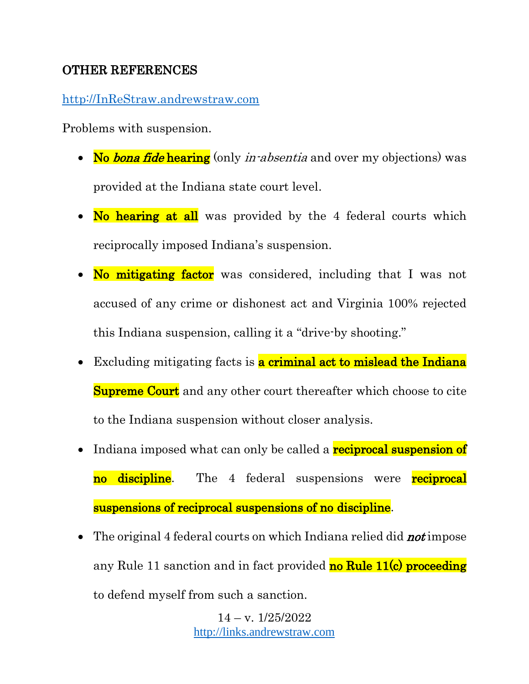# OTHER REFERENCES

[http://InReStraw.andrewstraw.com](http://inrestraw.andrewstraw.com/)

Problems with suspension.

- No bona fide hearing (only *in-absentia* and over my objections) was provided at the Indiana state court level.
- No hearing at all was provided by the 4 federal courts which reciprocally imposed Indiana's suspension.
- No mitigating factor was considered, including that I was not accused of any crime or dishonest act and Virginia 100% rejected this Indiana suspension, calling it a "drive-by shooting."
- Excluding mitigating facts is **a criminal act to mislead the Indiana Supreme Court** and any other court thereafter which choose to cite to the Indiana suspension without closer analysis.
- Indiana imposed what can only be called a **reciprocal suspension of** no discipline. The 4 federal suspensions were reciprocal suspensions of reciprocal suspensions of no discipline.
- The original 4 federal courts on which Indiana relied did **not** impose any Rule 11 sanction and in fact provided **no Rule 11(c) proceeding** to defend myself from such a sanction.

 $14 - v. \frac{1}{25/2022}$ [http://links.andrewstraw.com](http://links.andrewstraw.com/)